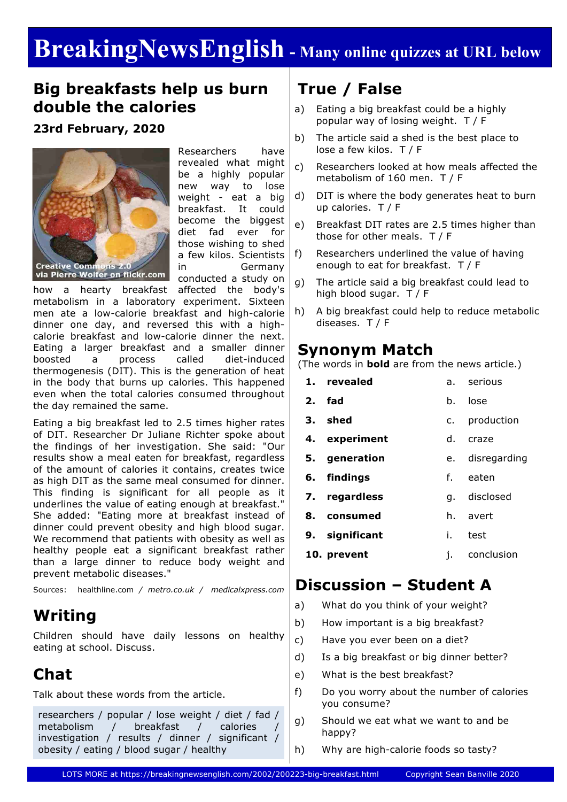# **BreakingNewsEnglish - Many online quizzes at URL below**

### **Big breakfasts help us burn double the calories**

### **23rd February, 2020**



Researchers have revealed what might be a highly popular new way to lose weight - eat a big breakfast. It could become the biggest diet fad ever for those wishing to shed a few kilos. Scientists in Germany conducted a study on

how a hearty breakfast affected the body's metabolism in a laboratory experiment. Sixteen men ate a low-calorie breakfast and high-calorie dinner one day, and reversed this with a highcalorie breakfast and low-calorie dinner the next. Eating a larger breakfast and a smaller dinner boosted a process called diet-induced thermogenesis (DIT). This is the generation of heat in the body that burns up calories. This happened even when the total calories consumed throughout the day remained the same.

Eating a big breakfast led to 2.5 times higher rates of DIT. Researcher Dr Juliane Richter spoke about the findings of her investigation. She said: "Our results show a meal eaten for breakfast, regardless of the amount of calories it contains, creates twice as high DIT as the same meal consumed for dinner. This finding is significant for all people as it underlines the value of eating enough at breakfast." She added: "Eating more at breakfast instead of dinner could prevent obesity and high blood sugar. We recommend that patients with obesity as well as healthy people eat a significant breakfast rather than a large dinner to reduce body weight and prevent metabolic diseases."

Sources: healthline.com */ metro.co.uk / medicalxpress.com*

### **Writing**

Children should have daily lessons on healthy eating at school. Discuss.

## **Chat**

Talk about these words from the article.

researchers / popular / lose weight / diet / fad / metabolism / breakfast / calories / investigation / results / dinner / significant / obesity / eating / blood sugar / healthy

# **True / False**

- a) Eating a big breakfast could be a highly popular way of losing weight. T / F
- b) The article said a shed is the best place to lose a few kilos. T / F
- c) Researchers looked at how meals affected the metabolism of 160 men. T / F
- d) DIT is where the body generates heat to burn up calories. T / F
- e) Breakfast DIT rates are 2.5 times higher than those for other meals. T / F
- f) Researchers underlined the value of having enough to eat for breakfast. T / F
- g) The article said a big breakfast could lead to high blood sugar. T / F
- h) A big breakfast could help to reduce metabolic diseases. T / F

### **Synonym Match**

(The words in **bold** are from the news article.)

| 1. revealed    | a. | serious         |
|----------------|----|-----------------|
| 2. fad         | b. | lose            |
| 3. shed        | c. | production      |
| 4. experiment  | d. | craze           |
| 5. generation  |    | e. disregarding |
| 6. findings    | f. | eaten           |
| 7. regardless  |    | q. disclosed    |
| 8. consumed    |    | h. avert        |
| 9. significant | i. | test            |
| 10. prevent    | i. | conclusion      |

### **Discussion – Student A**

- a) What do you think of your weight?
- b) How important is a big breakfast?
- c) Have you ever been on a diet?
- d) Is a big breakfast or big dinner better?
- e) What is the best breakfast?
- f) Do you worry about the number of calories you consume?
- g) Should we eat what we want to and be happy?
- h) Why are high-calorie foods so tasty?